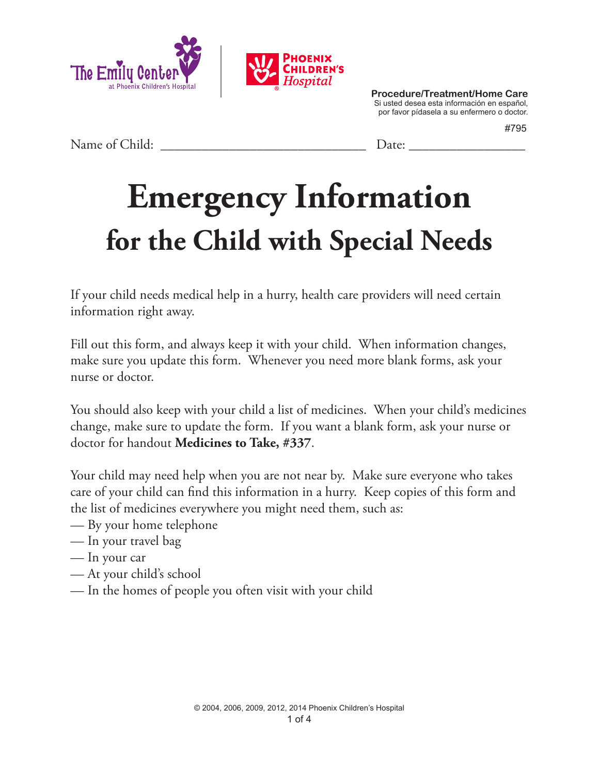



#795

Name of Child: <u>Date:</u>

## **Emergency Information for the Child with Special Needs**

If your child needs medical help in a hurry, health care providers will need certain information right away.

Fill out this form, and always keep it with your child. When information changes, make sure you update this form. Whenever you need more blank forms, ask your nurse or doctor.

You should also keep with your child a list of medicines. When your child's medicines change, make sure to update the form. If you want a blank form, ask your nurse or doctor for handout **Medicines to Take, #337**.

Your child may need help when you are not near by. Make sure everyone who takes care of your child can find this information in a hurry. Keep copies of this form and the list of medicines everywhere you might need them, such as:

- By your home telephone
- In your travel bag
- In your car
- At your child's school
- In the homes of people you often visit with your child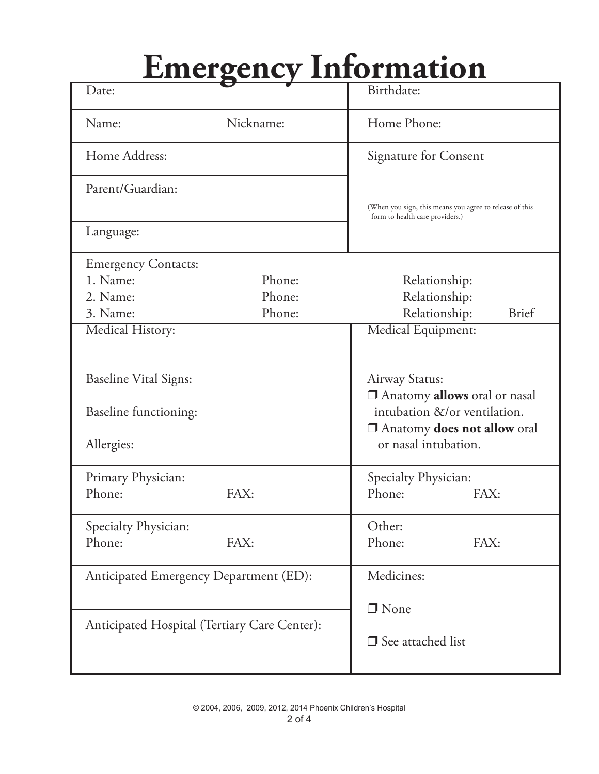## **Emergency Information**

| Date:                                                          |                            | Birthdate:                                                                                                                                          |  |  |
|----------------------------------------------------------------|----------------------------|-----------------------------------------------------------------------------------------------------------------------------------------------------|--|--|
| Name:                                                          | Nickname:                  | Home Phone:                                                                                                                                         |  |  |
| Home Address:                                                  |                            | <b>Signature for Consent</b>                                                                                                                        |  |  |
| Parent/Guardian:                                               |                            | (When you sign, this means you agree to release of this<br>form to health care providers.)                                                          |  |  |
| Language:                                                      |                            |                                                                                                                                                     |  |  |
| <b>Emergency Contacts:</b><br>1. Name:<br>2. Name:<br>3. Name: | Phone:<br>Phone:<br>Phone: | Relationship:<br>Relationship:<br>Relationship:<br><b>Brief</b>                                                                                     |  |  |
| Medical History:                                               |                            | Medical Equipment:                                                                                                                                  |  |  |
| <b>Baseline Vital Signs:</b>                                   |                            | Airway Status:<br>Anatomy <b>allows</b> oral or nasal<br>intubation &/or ventilation.<br><b>Anatomy does not allow oral</b><br>or nasal intubation. |  |  |
| Baseline functioning:                                          |                            |                                                                                                                                                     |  |  |
| Allergies:                                                     |                            |                                                                                                                                                     |  |  |
| Primary Physician:                                             |                            | Specialty Physician:                                                                                                                                |  |  |
| Phone:                                                         | FAX:                       | Phone:<br>FAX:                                                                                                                                      |  |  |
| Specialty Physician:                                           |                            | Other:                                                                                                                                              |  |  |
| Phone:                                                         | FAX:                       | Phone:<br>FAX:                                                                                                                                      |  |  |
| Anticipated Emergency Department (ED):                         |                            | Medicines:                                                                                                                                          |  |  |
|                                                                |                            | $\Box$ None                                                                                                                                         |  |  |
| Anticipated Hospital (Tertiary Care Center):                   |                            | $\Box$ See attached list                                                                                                                            |  |  |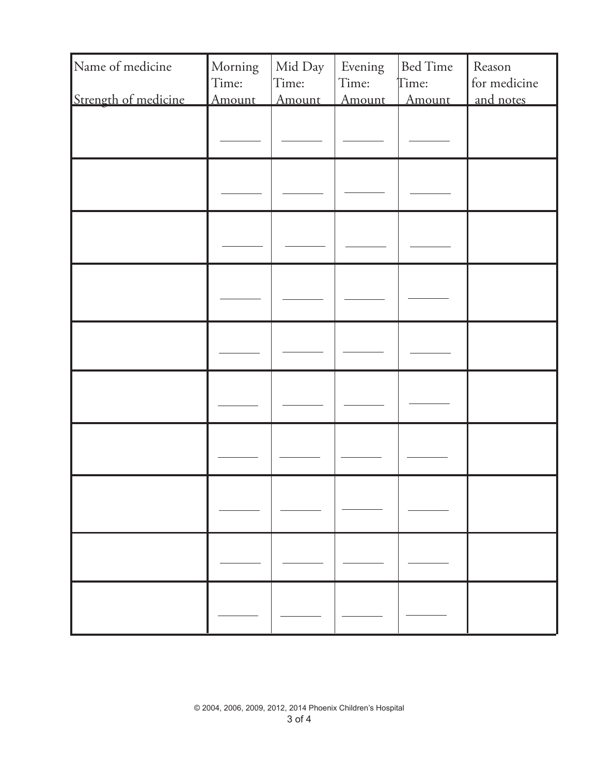| Name of medicine     | Morning<br>Time: | Mid Day<br>Time: | Evening<br>Time: | <b>Bed Time</b><br>Time: | Reason<br>for medicine |
|----------------------|------------------|------------------|------------------|--------------------------|------------------------|
| Strength of medicine | Amount           | Amount           | Amount           | Amount                   | and notes              |
|                      |                  |                  |                  |                          |                        |
|                      |                  |                  |                  |                          |                        |
|                      |                  |                  |                  |                          |                        |
|                      |                  |                  |                  |                          |                        |
|                      |                  |                  |                  |                          |                        |
|                      |                  |                  |                  |                          |                        |
|                      |                  |                  |                  |                          |                        |
|                      |                  |                  |                  |                          |                        |
|                      |                  |                  |                  |                          |                        |
|                      |                  |                  |                  |                          |                        |